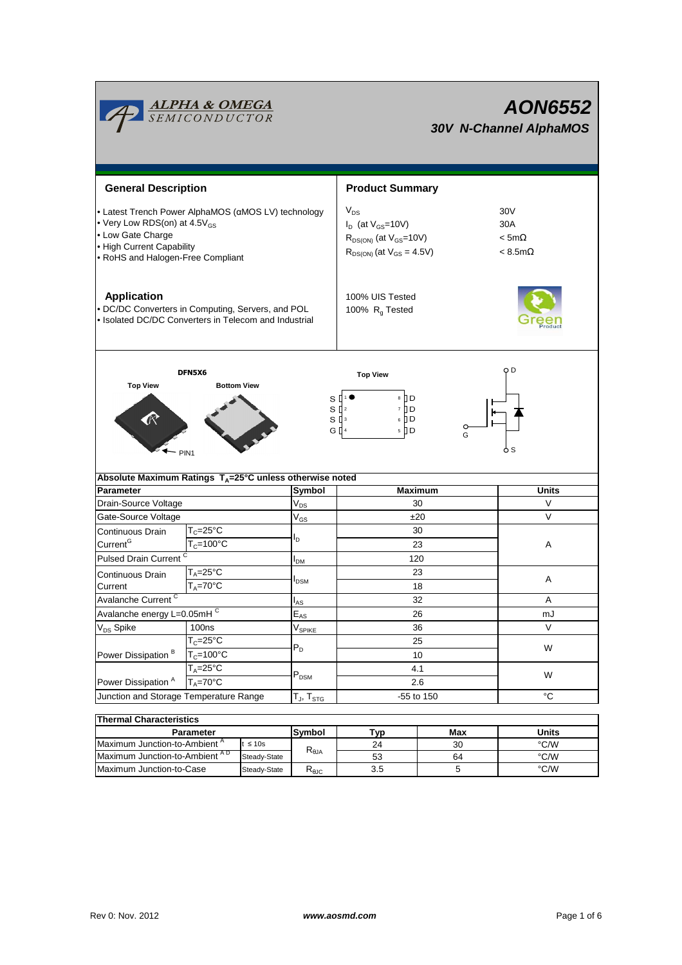

| Thermal Characteristics                  |              |                   |     |     |       |  |  |  |  |  |
|------------------------------------------|--------------|-------------------|-----|-----|-------|--|--|--|--|--|
| Parameter                                |              | <b>Symbol</b>     | Гур | Max | Units |  |  |  |  |  |
| Maximum Junction-to-Ambient <sup>A</sup> | ≤ 10s        |                   | 24  | 30  | °C/W  |  |  |  |  |  |
| Maximum Junction-to-Ambient AD           | Steady-State | $R_{\theta$ JA    | 53  | 64  | °C/W  |  |  |  |  |  |
| Maximum Junction-to-Case                 | Steady-State | K <sub>0.IC</sub> | 3.5 |     | °C/W  |  |  |  |  |  |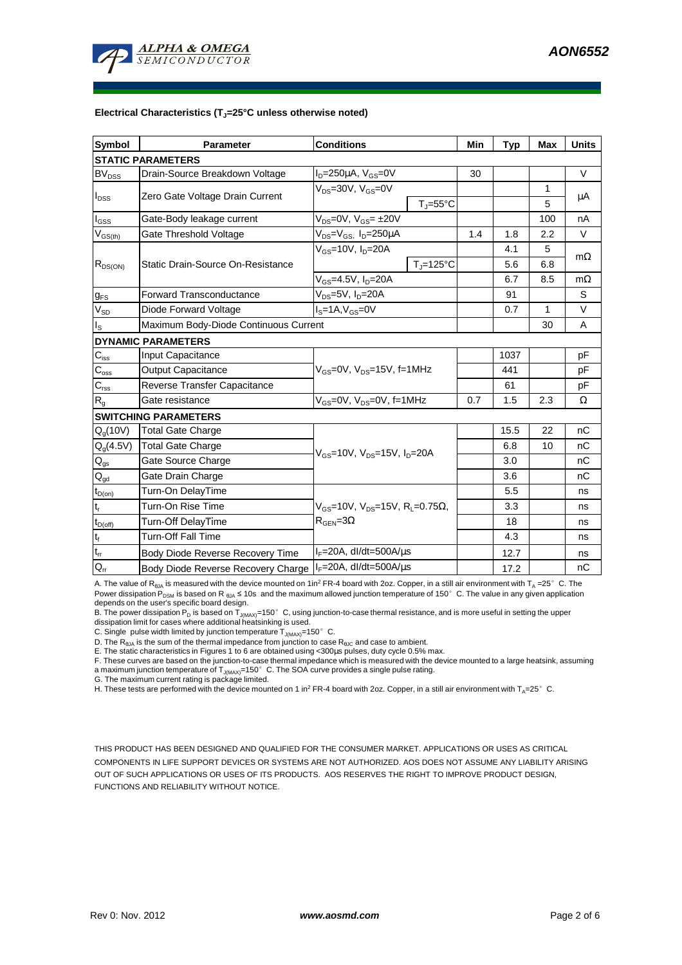

#### **Electrical Characteristics (TJ=25°C unless otherwise noted)**

| <b>Symbol</b>            | <b>Parameter</b>                      | <b>Conditions</b>                                                                           |                                | Min | <b>Typ</b> | <b>Max</b>   | <b>Units</b> |  |  |  |  |
|--------------------------|---------------------------------------|---------------------------------------------------------------------------------------------|--------------------------------|-----|------------|--------------|--------------|--|--|--|--|
| <b>STATIC PARAMETERS</b> |                                       |                                                                                             |                                |     |            |              |              |  |  |  |  |
| <b>BV<sub>DSS</sub></b>  | Drain-Source Breakdown Voltage        | $I_D = 250 \mu A$ , $V_{GS} = 0V$                                                           |                                | 30  |            |              | $\vee$       |  |  |  |  |
| $I_{DSS}$                | Zero Gate Voltage Drain Current       | $V_{DS}$ =30V, $V_{GS}$ =0V                                                                 |                                |     |            | 1            | μA           |  |  |  |  |
|                          |                                       | $T_{\parallel} = 55^{\circ}$ C                                                              |                                |     |            | 5            |              |  |  |  |  |
| $I_{GSS}$                | Gate-Body leakage current             | $V_{DS} = 0V$ , $V_{GS} = \pm 20V$                                                          |                                |     |            | 100          | nA           |  |  |  |  |
| $V_{GS(th)}$             | Gate Threshold Voltage                | $V_{DS} = V_{GS}$ , $I_D = 250 \mu A$                                                       |                                | 1.4 | 1.8        | 2.2          | V            |  |  |  |  |
| $R_{DS(ON)}$             | Static Drain-Source On-Resistance     | $V_{GS}$ =10V, $I_{D}$ =20A                                                                 |                                |     | 4.1        | 5            |              |  |  |  |  |
|                          |                                       |                                                                                             | $T_{\parallel} = 125^{\circ}C$ |     | 5.6<br>6.8 |              | $m\Omega$    |  |  |  |  |
|                          |                                       | $V_{GS} = 4.5V, I_D = 20A$                                                                  |                                |     | 6.7        | 8.5          | $m\Omega$    |  |  |  |  |
| $g_{FS}$                 | Forward Transconductance              | $V_{DS}$ =5V, I <sub>D</sub> =20A                                                           |                                |     | 91         |              | S            |  |  |  |  |
| $V_{SD}$                 | Diode Forward Voltage                 | $\overline{I_{\rm s}}$ =1A, $V_{\rm GS}$ =0V                                                |                                |     | 0.7        | $\mathbf{1}$ | $\vee$       |  |  |  |  |
| $I_{\rm S}$              | Maximum Body-Diode Continuous Current |                                                                                             |                                |     |            | 30           | A            |  |  |  |  |
|                          | <b>DYNAMIC PARAMETERS</b>             |                                                                                             |                                |     |            |              |              |  |  |  |  |
| $C_{\text{iss}}$         | Input Capacitance                     | $V_{GS}$ =0V, $V_{DS}$ =15V, f=1MHz                                                         |                                |     | 1037       |              | pF           |  |  |  |  |
| $C_{\rm oss}$            | <b>Output Capacitance</b>             |                                                                                             |                                |     | 441        |              | pF           |  |  |  |  |
| $C_{\text{rss}}$         | Reverse Transfer Capacitance          |                                                                                             |                                |     | 61         |              | pF           |  |  |  |  |
| $R_{g}$                  | Gate resistance                       | $V_{GS}$ =0V, $V_{DS}$ =0V, f=1MHz                                                          |                                | 0.7 | 1.5        | 2.3          | Ω            |  |  |  |  |
|                          | <b>SWITCHING PARAMETERS</b>           |                                                                                             |                                |     |            |              |              |  |  |  |  |
| $Q_q(10V)$               | <b>Total Gate Charge</b>              | $V_{GS}$ =10V, $V_{DS}$ =15V, $I_{D}$ =20A                                                  |                                |     | 15.5       | 22           | nC           |  |  |  |  |
| $Q_q(4.5V)$              | <b>Total Gate Charge</b>              |                                                                                             |                                |     | 6.8        | 10           | nC           |  |  |  |  |
| $Q_{gs}$                 | Gate Source Charge                    |                                                                                             |                                |     | 3.0        |              | nC           |  |  |  |  |
| $\mathsf{Q}_{\text{gd}}$ | Gate Drain Charge                     |                                                                                             |                                |     | 3.6        |              | nC           |  |  |  |  |
| $t_{D(on)}$              | Turn-On DelayTime                     | $V_{GS}$ =10V, $V_{DS}$ =15V, R <sub>i</sub> =0.75 $\Omega$ ,<br>$R_{\text{GEN}} = 3\Omega$ |                                |     | 5.5        |              | ns           |  |  |  |  |
| $t_r$                    | Turn-On Rise Time                     |                                                                                             |                                |     | 3.3        |              | ns           |  |  |  |  |
| $t_{D(off)}$             | Turn-Off DelayTime                    |                                                                                             |                                |     | 18         |              | ns           |  |  |  |  |
| $t_f$                    | <b>Turn-Off Fall Time</b>             |                                                                                             |                                |     | 4.3        |              | ns           |  |  |  |  |
| $t_{rr}$                 | Body Diode Reverse Recovery Time      | $I_F = 20A$ , dl/dt=500A/ $\mu$ s                                                           |                                |     | 12.7       |              | ns           |  |  |  |  |
| $Q_{rr}$                 | Body Diode Reverse Recovery Charge    | $I_F = 20A$ , dl/dt=500A/ $\mu$ s                                                           |                                |     | 17.2       |              | nC           |  |  |  |  |

A. The value of  $R_{\theta_0A}$  is measured with the device mounted on 1in<sup>2</sup> FR-4 board with 2oz. Copper, in a still air environment with T<sub>A</sub> =25° C. The Power dissipation  $P_{DSM}$  is based on R  $_{6JA}$  ≤ 10s and the maximum allowed junction temperature of 150°C. The value in any given application depends on the user's specific board design.

B. The power dissipation P<sub>D</sub> is based on T<sub>J(MAX)</sub>=150°C, using junction-to-case thermal resistance, and is more useful in setting the upper<br>dissipation limit for cases where additional heatsinking is used.

C. Single pulse width limited by junction temperature  $T_{J(MAX)}$ =150°C.

D. The R<sub>θJA</sub> is the sum of the thermal impedance from junction to case R<sub>θJC</sub> and case to ambient.<br>E. The static characteristics in Figures 1 to 6 are obtained using <300μs pulses, duty cycle 0.5% max.

E. The state characteristics in Figures 1 to 5 are setting the large vertex in the state with the device mounted to a large heatsink, assuming F. These curves are based on the junction-to-case thermal impedance which is me a maximum junction temperature of T<sub>J(MAX)</sub>=150°C. The SOA curve provides a single pulse rating.<br>G. The maximum current rating is package limited.

H. These tests are performed with the device mounted on 1 in<sup>2</sup> FR-4 board with 2oz. Copper, in a still air environment with T<sub>A</sub>=25°C.

THIS PRODUCT HAS BEEN DESIGNED AND QUALIFIED FOR THE CONSUMER MARKET. APPLICATIONS OR USES AS CRITICAL COMPONENTS IN LIFE SUPPORT DEVICES OR SYSTEMS ARE NOT AUTHORIZED. AOS DOES NOT ASSUME ANY LIABILITY ARISING OUT OF SUCH APPLICATIONS OR USES OF ITS PRODUCTS. AOS RESERVES THE RIGHT TO IMPROVE PRODUCT DESIGN, FUNCTIONS AND RELIABILITY WITHOUT NOTICE.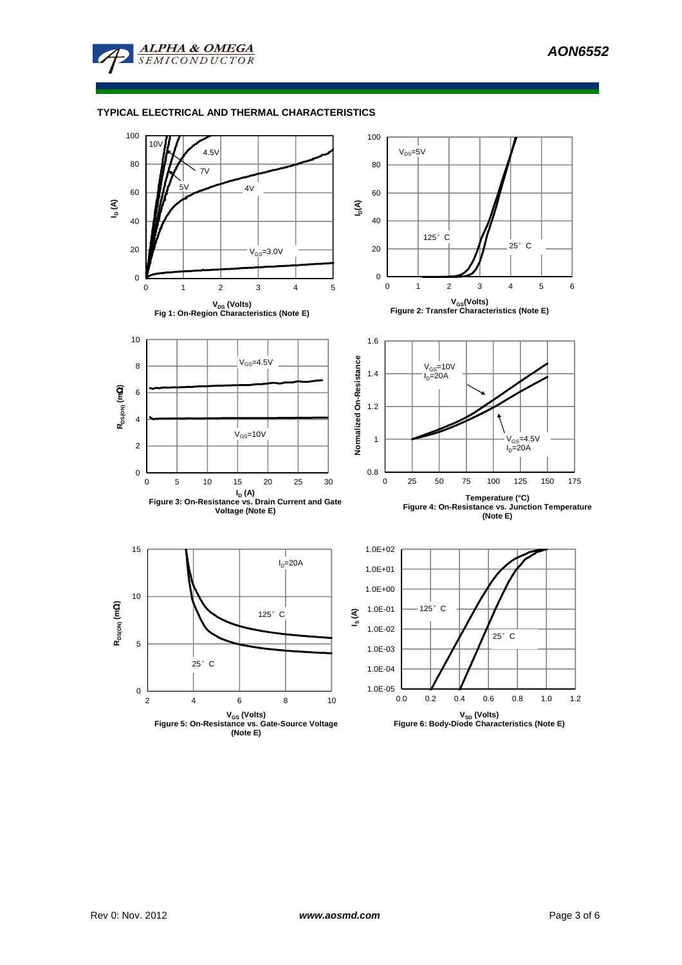

## **TYPICAL ELECTRICAL AND THERMAL CHARACTERISTICS**



**(Note E)**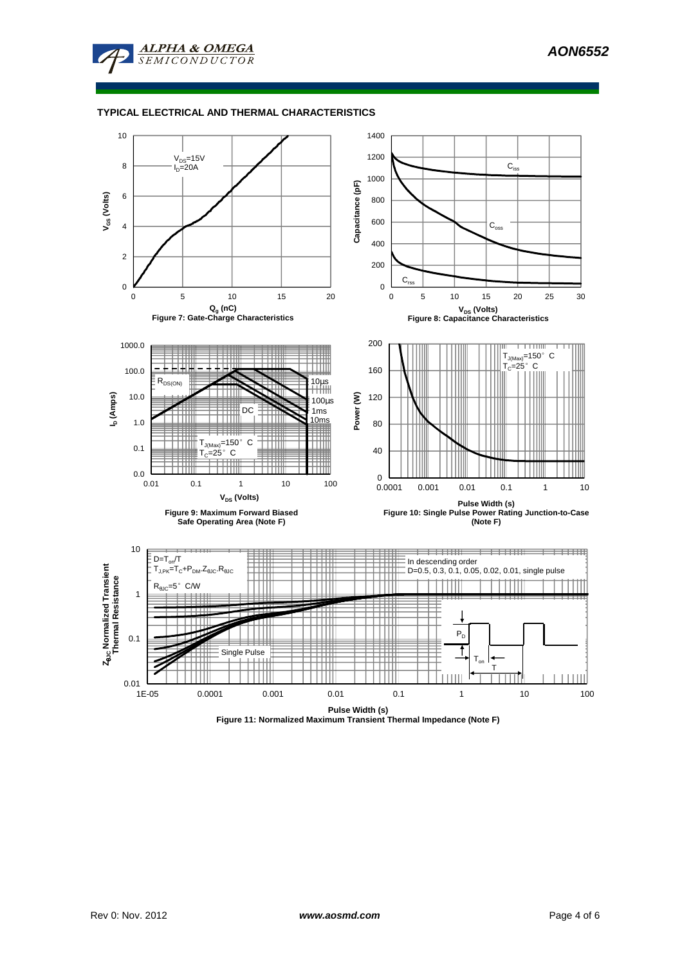

## **TYPICAL ELECTRICAL AND THERMAL CHARACTERISTICS**



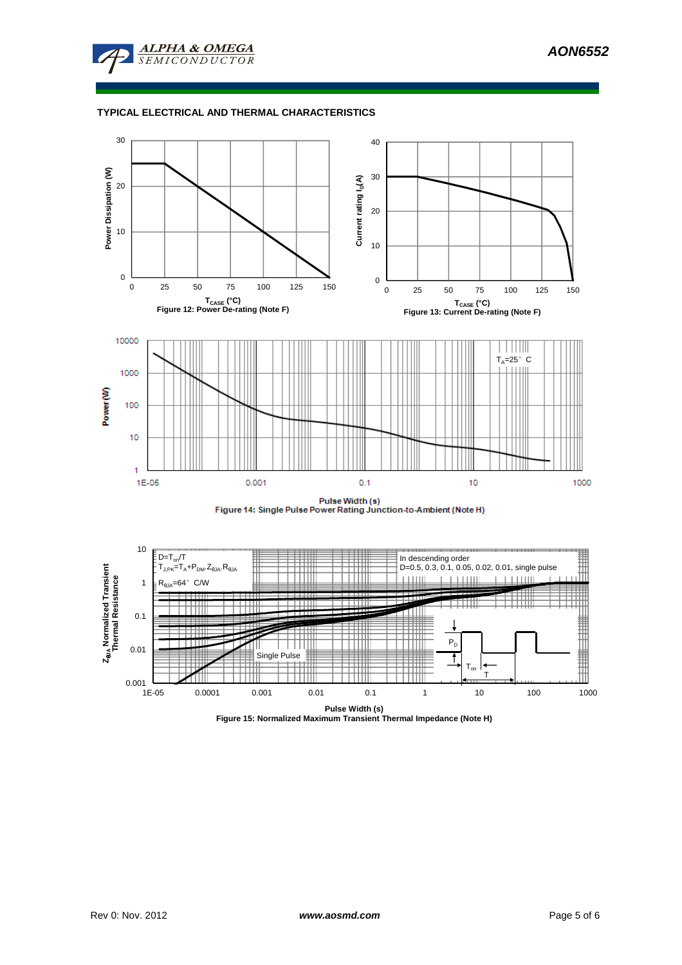

## **TYPICAL ELECTRICAL AND THERMAL CHARACTERISTICS**